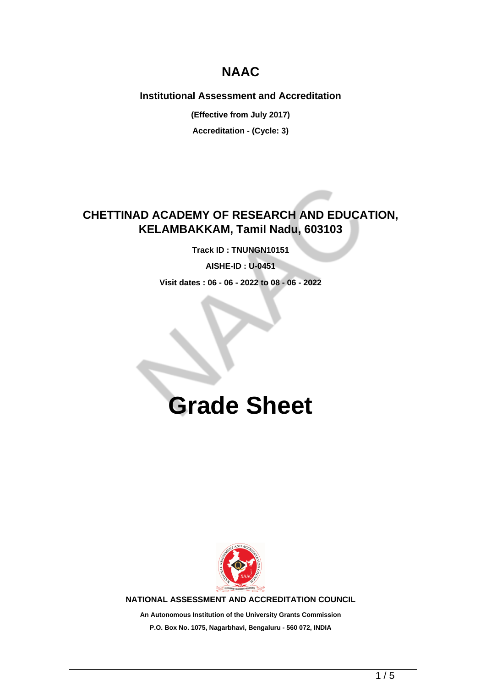## **NAAC**

### **Institutional Assessment and Accreditation**

**(Effective from July 2017)**

**Accreditation - (Cycle: 3)**

## **CHETTINAD ACADEMY OF RESEARCH AND EDUCATION, KELAMBAKKAM, Tamil Nadu, 603103**

**Track ID : TNUNGN10151**

**AISHE-ID : U-0451**

**Visit dates : 06 - 06 - 2022 to 08 - 06 - 2022**

# **Grade Sheet**



**NATIONAL ASSESSMENT AND ACCREDITATION COUNCIL**

**An Autonomous Institution of the University Grants Commission P.O. Box No. 1075, Nagarbhavi, Bengaluru - 560 072, INDIA**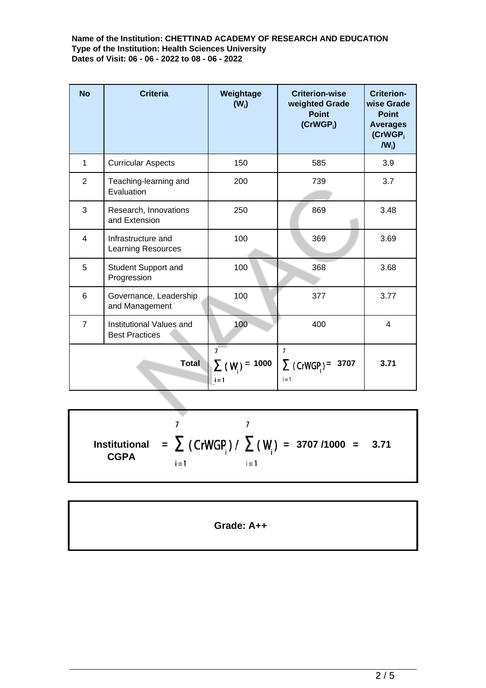**Name of the Institution: CHETTINAD ACADEMY OF RESEARCH AND EDUCATION Type of the Institution: Health Sciences University Dates of Visit: 06 - 06 - 2022 to 08 - 06 - 2022**

| <b>No</b>      | <b>Criteria</b>                                   | Weightage<br>$(W_i)$                             | <b>Criterion-wise</b><br>weighted Grade<br><b>Point</b><br>$(CrWGP_i)$ | <b>Criterion-</b><br>wise Grade<br><b>Point</b><br><b>Averages</b><br>(CrWGP <sub>i</sub><br>$IW_i$ |
|----------------|---------------------------------------------------|--------------------------------------------------|------------------------------------------------------------------------|-----------------------------------------------------------------------------------------------------|
| 1              | <b>Curricular Aspects</b>                         | 150                                              | 585                                                                    | 3.9                                                                                                 |
| $\overline{2}$ | Teaching-learning and<br>Evaluation               | 200                                              | 739                                                                    | 3.7                                                                                                 |
| 3              | Research, Innovations<br>and Extension            | 250                                              | 869                                                                    | 3.48                                                                                                |
| $\overline{4}$ | Infrastructure and<br><b>Learning Resources</b>   | 100                                              | 369                                                                    | 3.69                                                                                                |
| 5              | Student Support and<br>Progression                | 100                                              | 368                                                                    | 3.68                                                                                                |
| 6              | Governance, Leadership<br>and Management          | 100                                              | 377                                                                    | 3.77                                                                                                |
| $\overline{7}$ | Institutional Values and<br><b>Best Practices</b> | 100                                              | 400                                                                    | $\overline{4}$                                                                                      |
| <b>Total</b>   |                                                   | $\overline{7}$<br>$\sum (W_i) = 1000$<br>$i = 1$ | $\overline{7}$<br>$\sum$ (CrWGP) =<br>3707<br>$i = 1$                  | 3.71                                                                                                |

 $\overline{7}$  $\overline{7}$ **Institutional = = 3707 /1000 = 3.71 CGPA**  $i = 1$  $i = 1$ 

**Grade: A++**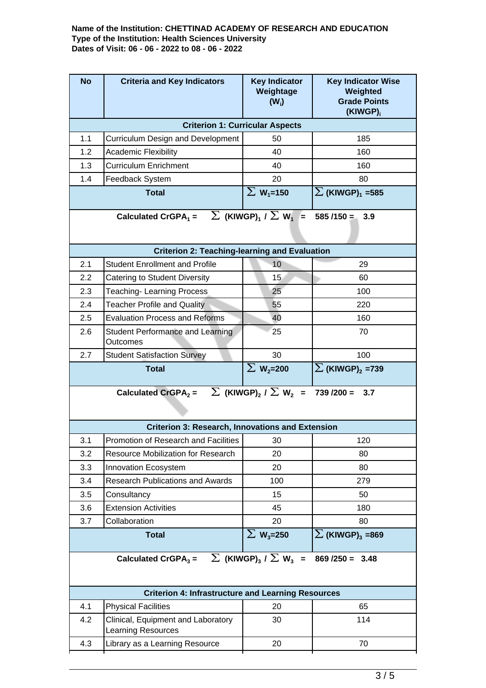#### **Name of the Institution: CHETTINAD ACADEMY OF RESEARCH AND EDUCATION Type of the Institution: Health Sciences University Dates of Visit: 06 - 06 - 2022 to 08 - 06 - 2022**

| <b>No</b>                                                                                                   | <b>Criteria and Key Indicators</b>                                                    | <b>Key Indicator</b><br>Weightage<br>$(W_i)$                     | <b>Key Indicator Wise</b><br>Weighted<br><b>Grade Points</b><br>(KIWGP) <sub>i</sub> |  |  |  |  |
|-------------------------------------------------------------------------------------------------------------|---------------------------------------------------------------------------------------|------------------------------------------------------------------|--------------------------------------------------------------------------------------|--|--|--|--|
| <b>Criterion 1: Curricular Aspects</b>                                                                      |                                                                                       |                                                                  |                                                                                      |  |  |  |  |
| 1.1                                                                                                         | <b>Curriculum Design and Development</b>                                              | 50                                                               | 185                                                                                  |  |  |  |  |
| 1.2                                                                                                         | Academic Flexibility                                                                  | 40                                                               | 160                                                                                  |  |  |  |  |
| 1.3                                                                                                         | <b>Curriculum Enrichment</b>                                                          | 40                                                               | 160                                                                                  |  |  |  |  |
| 1.4<br><b>Feedback System</b>                                                                               |                                                                                       | 20                                                               | 80                                                                                   |  |  |  |  |
|                                                                                                             | <b>Total</b>                                                                          | $\Sigma$ W <sub>1</sub> =150                                     | $\Sigma$ (KIWGP) <sub>1</sub> = 585                                                  |  |  |  |  |
| $\sum$ (KIWGP) <sub>1</sub> / $\sum$ W <sub>1</sub> =<br>Calculated CrGPA <sub>1</sub> =<br>$585/150 = 3.9$ |                                                                                       |                                                                  |                                                                                      |  |  |  |  |
|                                                                                                             | <b>Criterion 2: Teaching-learning and Evaluation</b>                                  |                                                                  |                                                                                      |  |  |  |  |
| 2.1                                                                                                         | <b>Student Enrollment and Profile</b>                                                 | 10                                                               | 29                                                                                   |  |  |  |  |
| 2.2                                                                                                         | <b>Catering to Student Diversity</b>                                                  | 15 <sub>1</sub>                                                  | 60                                                                                   |  |  |  |  |
| 2.3                                                                                                         | <b>Teaching-Learning Process</b>                                                      | 25                                                               | 100                                                                                  |  |  |  |  |
| 2.4                                                                                                         | <b>Teacher Profile and Quality</b>                                                    | 55                                                               | 220                                                                                  |  |  |  |  |
| 2.5                                                                                                         | <b>Evaluation Process and Reforms</b>                                                 | 40                                                               | 160                                                                                  |  |  |  |  |
| 2.6                                                                                                         | <b>Student Performance and Learning</b><br>Outcomes                                   | 25                                                               | 70                                                                                   |  |  |  |  |
| 2.7                                                                                                         | <b>Student Satisfaction Survey</b>                                                    | 30                                                               | 100                                                                                  |  |  |  |  |
|                                                                                                             | <b>Total</b>                                                                          | $\overline{\Sigma}$ W <sub>2</sub> =200                          | $\Sigma$ (KIWGP) <sub>2</sub> =739                                                   |  |  |  |  |
|                                                                                                             |                                                                                       |                                                                  |                                                                                      |  |  |  |  |
|                                                                                                             | Calculated CrGPA <sub>2</sub> = $\sum$ (KIWGP) <sub>2</sub> / $\sum$ W <sub>2</sub> = |                                                                  | $739/200 =$<br>3.7                                                                   |  |  |  |  |
|                                                                                                             | <b>Criterion 3: Research, Innovations and Extension</b>                               |                                                                  |                                                                                      |  |  |  |  |
| 3.1                                                                                                         | Promotion of Research and Facilities                                                  | 30                                                               | 120                                                                                  |  |  |  |  |
| 3.2                                                                                                         | <b>Resource Mobilization for Research</b>                                             | 20                                                               | 80                                                                                   |  |  |  |  |
| 3.3                                                                                                         | Innovation Ecosystem                                                                  | 20                                                               | 80                                                                                   |  |  |  |  |
| 3.4                                                                                                         | <b>Research Publications and Awards</b>                                               | 100                                                              | 279                                                                                  |  |  |  |  |
| 3.5                                                                                                         | Consultancy                                                                           | 15                                                               | 50                                                                                   |  |  |  |  |
| 3.6                                                                                                         | <b>Extension Activities</b>                                                           | 45                                                               | 180                                                                                  |  |  |  |  |
| 3.7                                                                                                         | Collaboration                                                                         | 20                                                               | 80                                                                                   |  |  |  |  |
|                                                                                                             | <b>Total</b>                                                                          | $\Sigma$ W <sub>3</sub> =250                                     | $\Sigma$ (KIWGP) <sub>3</sub> =869                                                   |  |  |  |  |
|                                                                                                             | Calculated CrGPA $_3$ =                                                               | $\overline{\sum}$ (KIWGP) <sub>3</sub> / $\sum$ W <sub>3</sub> = | $869 / 250 = 3.48$                                                                   |  |  |  |  |
|                                                                                                             | <b>Criterion 4: Infrastructure and Learning Resources</b>                             |                                                                  |                                                                                      |  |  |  |  |
| 4.1                                                                                                         | <b>Physical Facilities</b>                                                            | 20                                                               | 65                                                                                   |  |  |  |  |
| 4.2                                                                                                         | Clinical, Equipment and Laboratory<br><b>Learning Resources</b>                       | 30                                                               | 114                                                                                  |  |  |  |  |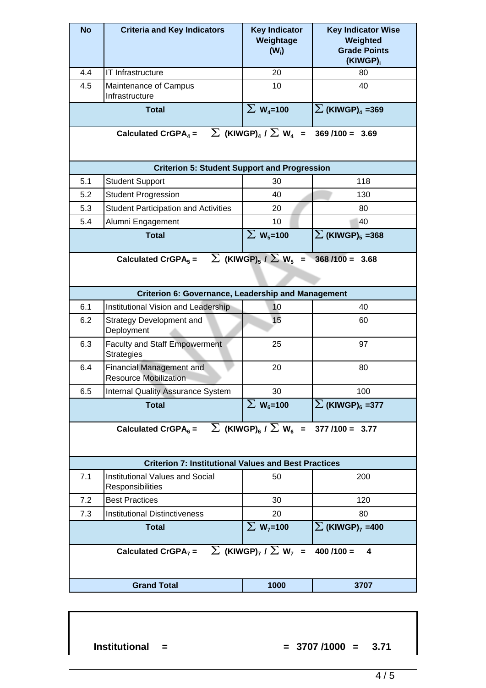| <b>No</b>                                                                                                                                                         | <b>Criteria and Key Indicators</b>                              | <b>Key Indicator</b><br>Weightage<br>$(W_i)$ | <b>Key Indicator Wise</b><br>Weighted<br><b>Grade Points</b><br>(KIWGP) <sub>i</sub> |  |  |  |  |
|-------------------------------------------------------------------------------------------------------------------------------------------------------------------|-----------------------------------------------------------------|----------------------------------------------|--------------------------------------------------------------------------------------|--|--|--|--|
| 4.4                                                                                                                                                               | <b>IT Infrastructure</b>                                        | 20                                           | 80                                                                                   |  |  |  |  |
| 4.5                                                                                                                                                               | Maintenance of Campus<br>Infrastructure                         | 10                                           | 40                                                                                   |  |  |  |  |
|                                                                                                                                                                   | <b>Total</b>                                                    | $\Sigma$ W <sub>4</sub> =100                 | $\sum$ (KIWGP) <sub>4</sub> =369                                                     |  |  |  |  |
| $\sum$ (KIWGP) <sub>4</sub> / $\sum$ W <sub>4</sub> = 369 /100 = 3.69<br>Calculated CrGPA <sub>4</sub> =                                                          |                                                                 |                                              |                                                                                      |  |  |  |  |
| <b>Criterion 5: Student Support and Progression</b>                                                                                                               |                                                                 |                                              |                                                                                      |  |  |  |  |
| 5.1                                                                                                                                                               | <b>Student Support</b>                                          | 30                                           | 118                                                                                  |  |  |  |  |
| 5.2                                                                                                                                                               | <b>Student Progression</b>                                      | 40                                           | 130                                                                                  |  |  |  |  |
| 5.3                                                                                                                                                               | <b>Student Participation and Activities</b>                     | 20                                           | 80                                                                                   |  |  |  |  |
| 5.4                                                                                                                                                               | Alumni Engagement                                               | 10                                           | 40                                                                                   |  |  |  |  |
|                                                                                                                                                                   | <b>Total</b>                                                    | $\Sigma$ W <sub>5</sub> =100                 | $\sum$ (KIWGP) <sub>5</sub> =368                                                     |  |  |  |  |
| $\sum$ (KIWGP) <sub>5</sub> / $\sum$ W <sub>5</sub> =<br>Calculated CrGPA $_5$ =<br>$368/100 = 3.68$<br><b>Criterion 6: Governance, Leadership and Management</b> |                                                                 |                                              |                                                                                      |  |  |  |  |
| 6.1                                                                                                                                                               | Institutional Vision and Leadership                             | 10                                           | 40                                                                                   |  |  |  |  |
| 6.2                                                                                                                                                               | <b>Strategy Development and</b><br>Deployment                   | 15                                           | 60                                                                                   |  |  |  |  |
| 6.3                                                                                                                                                               | <b>Faculty and Staff Empowerment</b><br><b>Strategies</b>       | 25                                           | 97                                                                                   |  |  |  |  |
| 6.4                                                                                                                                                               | <b>Financial Management and</b><br><b>Resource Mobilization</b> | 20                                           | 80                                                                                   |  |  |  |  |
| 6.5                                                                                                                                                               | Internal Quality Assurance System                               | 30                                           | 100                                                                                  |  |  |  |  |
|                                                                                                                                                                   | <b>Total</b>                                                    | $\Sigma$ W <sub>6</sub> =100                 | $\Sigma$ (KIWGP) <sub>6</sub> =377                                                   |  |  |  |  |
| Calculated CrGPA <sub>6</sub> = $\sum$ (KIWGP) <sub>6</sub> / $\sum$ W <sub>6</sub> = 377 /100 = 3.77                                                             |                                                                 |                                              |                                                                                      |  |  |  |  |
|                                                                                                                                                                   | <b>Criterion 7: Institutional Values and Best Practices</b>     |                                              |                                                                                      |  |  |  |  |
| 7.1                                                                                                                                                               | <b>Institutional Values and Social</b><br>Responsibilities      | 50                                           | 200                                                                                  |  |  |  |  |
| 7.2                                                                                                                                                               | <b>Best Practices</b>                                           | 30                                           | 120                                                                                  |  |  |  |  |
| 7.3                                                                                                                                                               | <b>Institutional Distinctiveness</b>                            | 20                                           | 80                                                                                   |  |  |  |  |
|                                                                                                                                                                   | <b>Total</b>                                                    | $\Sigma$ W <sub>7</sub> =100                 | $\Sigma$ (KIWGP) <sub>7</sub> =400                                                   |  |  |  |  |
| $\sum$ (KIWGP) <sub>7</sub> / $\sum$ W <sub>7</sub> =<br>Calculated CrGPA <sub>7</sub> =<br>$400/100 =$<br>$\overline{\mathbf{4}}$                                |                                                                 |                                              |                                                                                      |  |  |  |  |
|                                                                                                                                                                   | <b>Grand Total</b>                                              | 1000                                         | 3707                                                                                 |  |  |  |  |